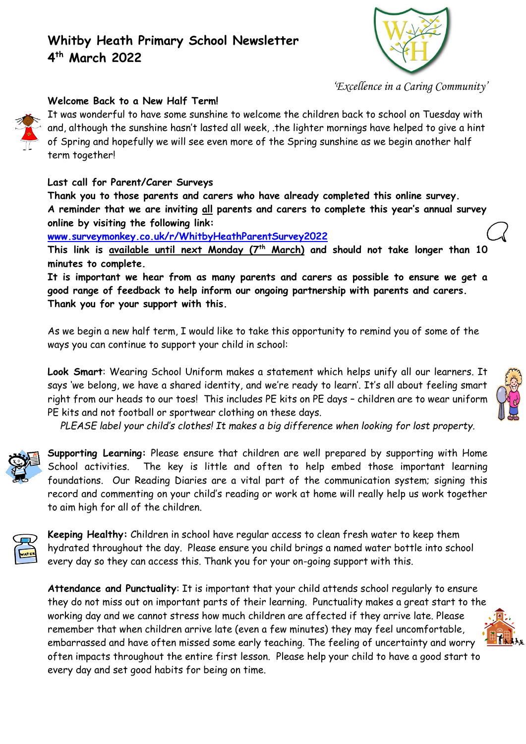

*'Excellence in a Caring Community'*

#### **Welcome Back to a New Half Term!**

It was wonderful to have some sunshine to welcome the children back to school on Tuesday with and, although the sunshine hasn't lasted all week, .the lighter mornings have helped to give a hint of Spring and hopefully we will see even more of the Spring sunshine as we begin another half term together!

#### **Last call for Parent/Carer Surveys**

**Thank you to those parents and carers who have already completed this online survey. A reminder that we are inviting all parents and carers to complete this year's annual survey online by visiting the following link:**

**[www.surveymonkey.co.uk/r/WhitbyHeathParentSurvey2022](http://www.surveymonkey.co.uk/r/WhitbyHeathParentSurvey2022)**

**This link is available until next Monday (7th March) and should not take longer than 10 minutes to complete.** 

**It is important we hear from as many parents and carers as possible to ensure we get a good range of feedback to help inform our ongoing partnership with parents and carers. Thank you for your support with this.**

As we begin a new half term, I would like to take this opportunity to remind you of some of the ways you can continue to support your child in school:

**Look Smart**: Wearing School Uniform makes a statement which helps unify all our learners. It says 'we belong, we have a shared identity, and we're ready to learn'. It's all about feeling smart right from our heads to our toes! This includes PE kits on PE days – children are to wear uniform PE kits and not football or sportwear clothing on these days.

*PLEASE label your child's clothes! It makes a big difference when looking for lost property.*



**Supporting Learning:** Please ensure that children are well prepared by supporting with Home School activities. The key is little and often to help embed those important learning foundations. Our Reading Diaries are a vital part of the communication system; signing this record and commenting on your child's reading or work at home will really help us work together to aim high for all of the children.



**Keeping Healthy:** Children in school have regular access to clean fresh water to keep them hydrated throughout the day. Please ensure you child brings a named water bottle into school every day so they can access this. Thank you for your on-going support with this.

**Attendance and Punctuality**: It is important that your child attends school regularly to ensure they do not miss out on important parts of their learning. Punctuality makes a great start to the working day and we cannot stress how much children are affected if they arrive late. Please remember that when children arrive late (even a few minutes) they may feel uncomfortable, embarrassed and have often missed some early teaching. The feeling of uncertainty and worry often impacts throughout the entire first lesson. Please help your child to have a good start to every day and set good habits for being on time.

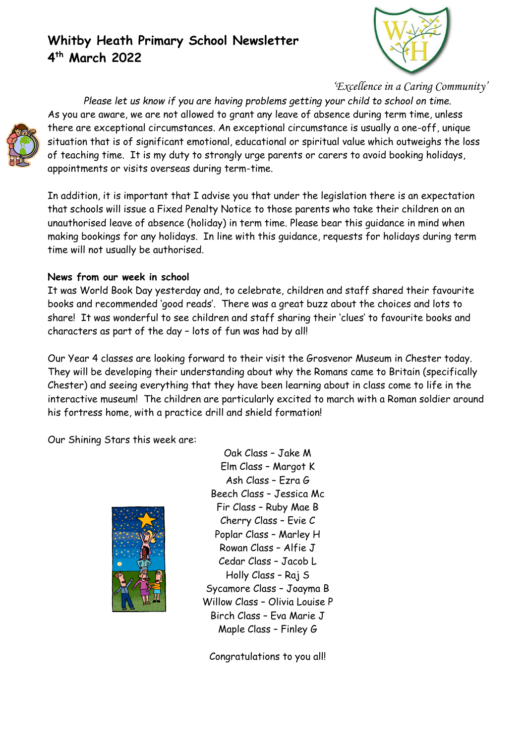

*'Excellence in a Caring Community'*

*Please let us know if you are having problems getting your child to school on time.* As you are aware, we are not allowed to grant any leave of absence during term time, unless there are exceptional circumstances. An exceptional circumstance is usually a one-off, unique situation that is of significant emotional, educational or spiritual value which outweighs the loss of teaching time. It is my duty to strongly urge parents or carers to avoid booking holidays, appointments or visits overseas during term-time.

In addition, it is important that I advise you that under the legislation there is an expectation that schools will issue a Fixed Penalty Notice to those parents who take their children on an unauthorised leave of absence (holiday) in term time. Please bear this guidance in mind when making bookings for any holidays. In line with this guidance, requests for holidays during term time will not usually be authorised.

## **News from our week in school**

It was World Book Day yesterday and, to celebrate, children and staff shared their favourite books and recommended 'good reads'. There was a great buzz about the choices and lots to share! It was wonderful to see children and staff sharing their 'clues' to favourite books and characters as part of the day – lots of fun was had by all!

Our Year 4 classes are looking forward to their visit the Grosvenor Museum in Chester today. They will be developing their understanding about why the Romans came to Britain (specifically Chester) and seeing everything that they have been learning about in class come to life in the interactive museum! The children are particularly excited to march with a Roman soldier around his fortress home, with a practice drill and shield formation!

Our Shining Stars this week are:



Oak Class – Jake M Elm Class – Margot K Ash Class – Ezra G Beech Class – Jessica Mc Fir Class – Ruby Mae B Cherry Class – Evie C Poplar Class – Marley H Rowan Class – Alfie J Cedar Class – Jacob L Holly Class – Raj S Sycamore Class – Joayma B Willow Class – Olivia Louise P Birch Class – Eva Marie J Maple Class – Finley G

Congratulations to you all!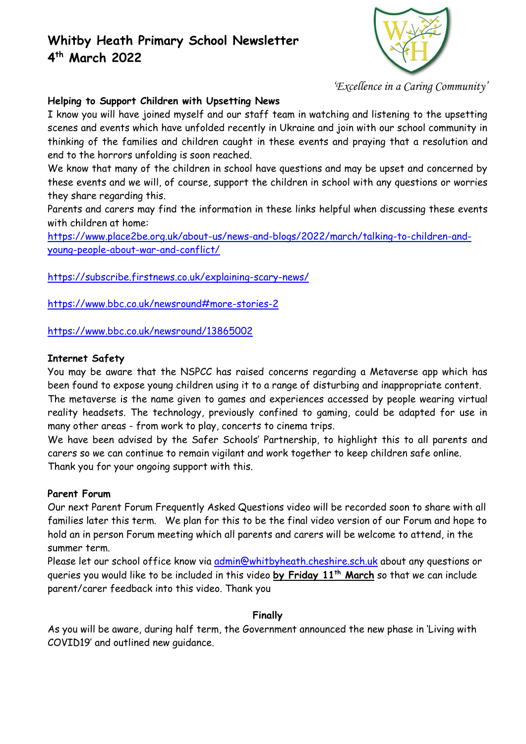

*'Excellence in a Caring Community'*

### **Helping to Support Children with Upsetting News**

I know you will have joined myself and our staff team in watching and listening to the upsetting scenes and events which have unfolded recently in Ukraine and join with our school community in thinking of the families and children caught in these events and praying that a resolution and end to the horrors unfolding is soon reached.

We know that many of the children in school have questions and may be upset and concerned by these events and we will, of course, support the children in school with any questions or worries they share regarding this.

Parents and carers may find the information in these links helpful when discussing these events with children at home:

[https://www.place2be.org.uk/about-us/news-and-blogs/2022/march/talking-to-children-and](https://www.place2be.org.uk/about-us/news-and-blogs/2022/march/talking-to-children-and-young-people-about-war-and-conflict/)[young-people-about-war-and-conflict/](https://www.place2be.org.uk/about-us/news-and-blogs/2022/march/talking-to-children-and-young-people-about-war-and-conflict/)

<https://subscribe.firstnews.co.uk/explaining-scary-news/>

<https://www.bbc.co.uk/newsround#more-stories-2>

<https://www.bbc.co.uk/newsround/13865002>

#### **Internet Safety**

You may be aware that the NSPCC has raised concerns regarding a Metaverse app which has been found to expose young children using it to a range of disturbing and inappropriate content. The metaverse is the name given to games and experiences accessed by people wearing virtual reality headsets. The technology, previously confined to gaming, could be adapted for use in many other areas - from work to play, concerts to cinema trips.

We have been advised by the Safer Schools' Partnership, to highlight this to all parents and carers so we can continue to remain vigilant and work together to keep children safe online. Thank you for your ongoing support with this.

#### **Parent Forum**

Our next Parent Forum Frequently Asked Questions video will be recorded soon to share with all families later this term. We plan for this to be the final video version of our Forum and hope to hold an in person Forum meeting which all parents and carers will be welcome to attend, in the summer term.

Please let our school office know via [admin@whitbyheath.cheshire.sch.uk](mailto:admin@whitbyheath.cheshire.sch.uk) about any questions or queries you would like to be included in this video **by Friday 11th March** so that we can include parent/carer feedback into this video. Thank you

### **Finally**

As you will be aware, during half term, the Government announced the new phase in 'Living with COVID19' and outlined new guidance.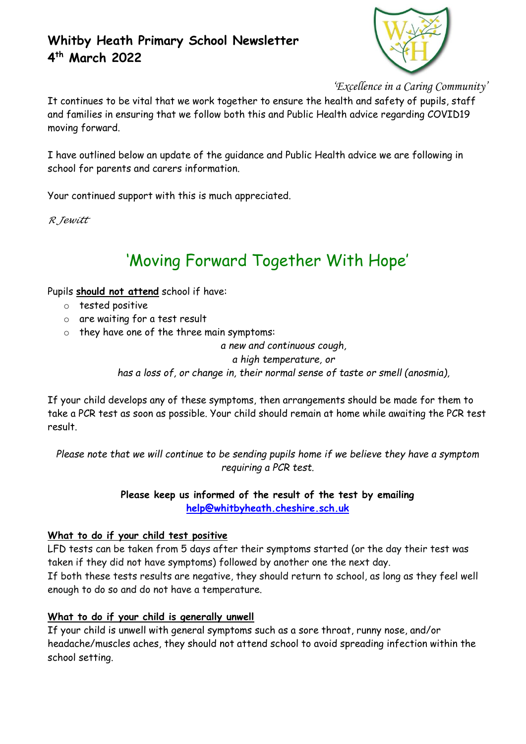

*'Excellence in a Caring Community'*

It continues to be vital that we work together to ensure the health and safety of pupils, staff and families in ensuring that we follow both this and Public Health advice regarding COVID19 moving forward.

I have outlined below an update of the guidance and Public Health advice we are following in school for parents and carers information.

Your continued support with this is much appreciated.

*R Jewitt*

# 'Moving Forward Together With Hope'

Pupils **should not attend** school if have:

- o tested positive
- o are waiting for a test result
- o they have one of the three main symptoms:

*a new and continuous cough, a high temperature, or has a loss of, or change in, their normal sense of taste or smell (anosmia),*

If your child develops any of these symptoms, then arrangements should be made for them to take a PCR test as soon as possible. Your child should remain at home while awaiting the PCR test result.

*Please note that we will continue to be sending pupils home if we believe they have a symptom requiring a PCR test.*

## **Please keep us informed of the result of the test by emailing [help@whitbyheath.cheshire.sch.uk](mailto:help@whitbyheath.cheshire.sch.uk)**

### **What to do if your child test positive**

LFD tests can be taken from 5 days after their symptoms started (or the day their test was taken if they did not have symptoms) followed by another one the next day. If both these tests results are negative, they should return to school, as long as they feel well enough to do so and do not have a temperature.

### **What to do if your child is generally unwell**

If your child is unwell with general symptoms such as a sore throat, runny nose, and/or headache/muscles aches, they should not attend school to avoid spreading infection within the school setting.